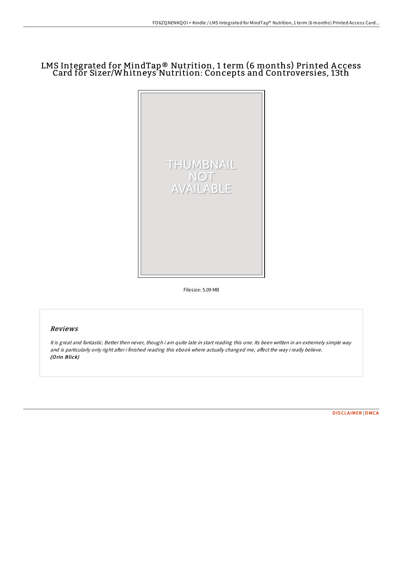## LMS Integrated for MindTap® Nutrition, 1 term (6 months) Printed A ccess Card for Sizer/Whitneys Nutrition: Concepts and Controversies, 13th



Filesize: 5.09 MB

## Reviews

It is great and fantastic. Better then never, though i am quite late in start reading this one. Its been written in an extremely simple way and is particularly only right after i finished reading this ebook where actually changed me, affect the way i really believe. (Orin Blick)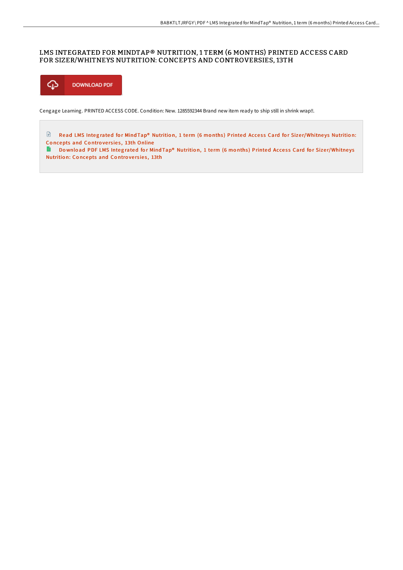## LMS INTEGRATED FOR MINDTAP® NUTRITION, 1 TERM (6 MONTHS) PRINTED ACCESS CARD FOR SIZER/WHITNEYS NUTRITION: CONCEPTS AND CONTROVERSIES, 13TH



Cengage Learning. PRINTED ACCESS CODE. Condition: New. 1285592344 Brand new item ready to ship still in shrink wrap!!.

Read LMS Integrated for Mind Tap® Nutrition, 1 term (6 months) Printed Access Card for Size[r/Whitne](http://almighty24.tech/lms-integrated-for-mindtap-reg-nutrition-1-term-.html)ys Nutrition: Concepts and Controversies, 13th Online

Do wnload PDF LMS Integrated for Mind Tap® Nutrition, 1 term (6 months) Printed Access Card for Size[r/Whitne](http://almighty24.tech/lms-integrated-for-mindtap-reg-nutrition-1-term-.html)ys Nutrition: Concepts and Controversies, 13th